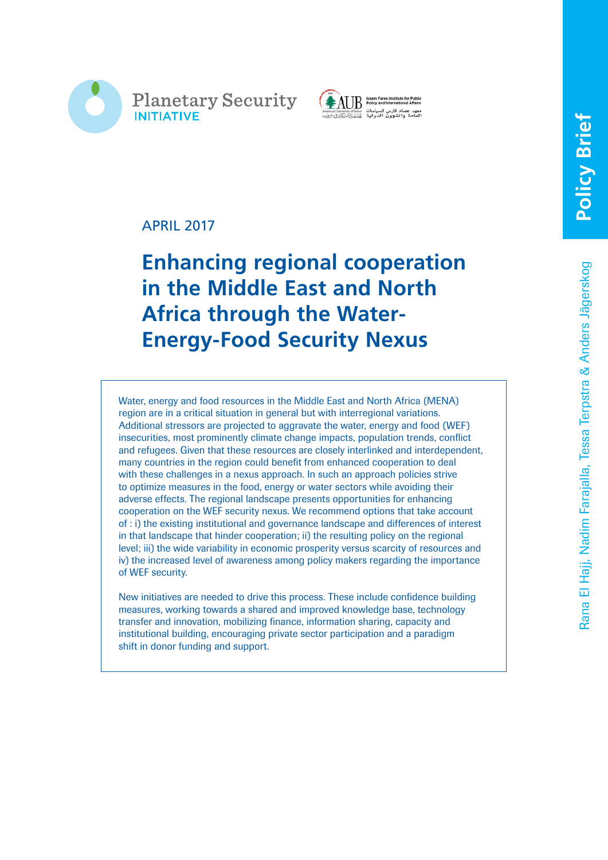



# APRIL 2017

# **Enhancing regional cooperation in the Middle East and North Africa through the Water-Energy-Food Security Nexus**

Water, energy and food resources in the Middle East and North Africa (MENA) region are in a critical situation in general but with interregional variations. Additional stressors are projected to aggravate the water, energy and food (WEF) insecurities, most prominently climate change impacts, population trends, conflict and refugees. Given that these resources are closely interlinked and interdependent, many countries in the region could benefit from enhanced cooperation to deal with these challenges in a nexus approach. In such an approach policies strive to optimize measures in the food, energy or water sectors while avoiding their adverse effects. The regional landscape presents opportunities for enhancing cooperation on the WEF security nexus. We recommend options that take account of : i) the existing institutional and governance landscape and differences of interest in that landscape that hinder cooperation; ii) the resulting policy on the regional level; iii) the wide variability in economic prosperity versus scarcity of resources and iv) the increased level of awareness among policy makers regarding the importance of WEF security.

New initiatives are needed to drive this process. These include confidence building measures, working towards a shared and improved knowledge base, technology transfer and innovation, mobilizing finance, information sharing, capacity and institutional building, encouraging private sector participation and a paradigm shift in donor funding and support.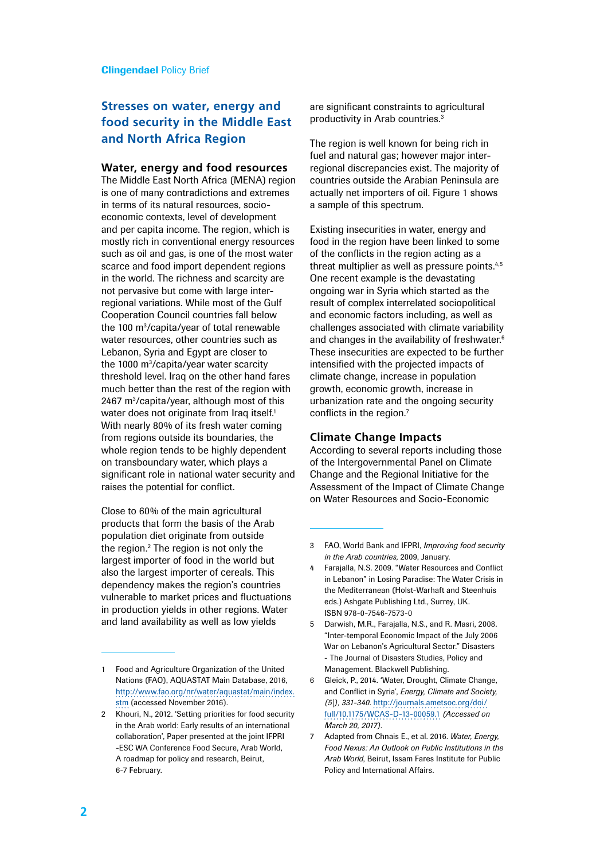# **Stresses on water, energy and food security in the Middle East and North Africa Region**

### **Water, energy and food resources**

The Middle East North Africa (MENA) region is one of many contradictions and extremes in terms of its natural resources, socioeconomic contexts, level of development and per capita income. The region, which is mostly rich in conventional energy resources such as oil and gas, is one of the most water scarce and food import dependent regions in the world. The richness and scarcity are not pervasive but come with large interregional variations. While most of the Gulf Cooperation Council countries fall below the 100 m3 /capita/year of total renewable water resources, other countries such as Lebanon, Syria and Egypt are closer to the 1000 m3 /capita/year water scarcity threshold level. Iraq on the other hand fares much better than the rest of the region with 2467 m3 /capita/year, although most of this water does not originate from Iraq itself.<sup>1</sup> With nearly 80% of its fresh water coming from regions outside its boundaries, the whole region tends to be highly dependent on transboundary water, which plays a significant role in national water security and raises the potential for conflict.

Close to 60% of the main agricultural products that form the basis of the Arab population diet originate from outside the region.<sup>2</sup> The region is not only the largest importer of food in the world but also the largest importer of cereals. This dependency makes the region's countries vulnerable to market prices and fluctuations in production yields in other regions. Water and land availability as well as low yields

are significant constraints to agricultural productivity in Arab countries.3

The region is well known for being rich in fuel and natural gas; however major interregional discrepancies exist. The majority of countries outside the Arabian Peninsula are actually net importers of oil. Figure 1 shows a sample of this spectrum.

Existing insecurities in water, energy and food in the region have been linked to some of the conflicts in the region acting as a threat multiplier as well as pressure points.<sup>4,5</sup> One recent example is the devastating ongoing war in Syria which started as the result of complex interrelated sociopolitical and economic factors including, as well as challenges associated with climate variability and changes in the availability of freshwater.<sup>6</sup> These insecurities are expected to be further intensified with the projected impacts of climate change, increase in population growth, economic growth, increase in urbanization rate and the ongoing security conflicts in the region.<sup>7</sup>

#### **Climate Change Impacts**

According to several reports including those of the Intergovernmental Panel on Climate Change and the Regional Initiative for the Assessment of the Impact of Climate Change on Water Resources and Socio-Economic

- 5 Darwish, M.R., Farajalla, N.S., and R. Masri, 2008. "Inter-temporal Economic Impact of the July 2006 War on Lebanon's Agricultural Sector." Disasters - The Journal of Disasters Studies, Policy and Management. Blackwell Publishing.
- 6 Gleick, P., 2014. 'Water, Drought, Climate Change, and Conflict in Syria', *Energy, Climate and Society, (5|), 331-340*. [http://journals.ametsoc.org/doi/](http://journals.ametsoc.org/doi/full/10.1175/WCAS-D-13-00059.1) [full/10.1175/WCAS-D-13-00059.1](http://journals.ametsoc.org/doi/full/10.1175/WCAS-D-13-00059.1) *(Accessed on March 20, 2017)*.
- 7 Adapted from Chnais E., et al. 2016. *Water, Energy, Food Nexus: An Outlook on Public Institutions in the Arab World*, Beirut, Issam Fares Institute for Public Policy and International Affairs.

<sup>1</sup> Food and Agriculture Organization of the United Nations (FAO), AQUASTAT Main Database, 2016, [http://www.fao.org/nr/water/aquastat/main/index.](http://www.fao.org/nr/water/aquastat/main/index.stm) [stm](http://www.fao.org/nr/water/aquastat/main/index.stm) (accessed November 2016).

<sup>2</sup> Khouri, N., 2012. 'Setting priorities for food security in the Arab world: Early results of an international collaboration', Paper presented at the joint IFPRI -ESC WA Conference Food Secure, Arab World, A roadmap for policy and research, Beirut, 6-7 February.

<sup>3</sup> FAO, World Bank and IFPRI, *Improving food security in the Arab countries*, 2009, January.

<sup>4</sup> Farajalla, N.S. 2009. "Water Resources and Conflict in Lebanon" in Losing Paradise: The Water Crisis in the Mediterranean (Holst-Warhaft and Steenhuis eds.) Ashgate Publishing Ltd., Surrey, UK. ISBN 978-0-7546-7573-0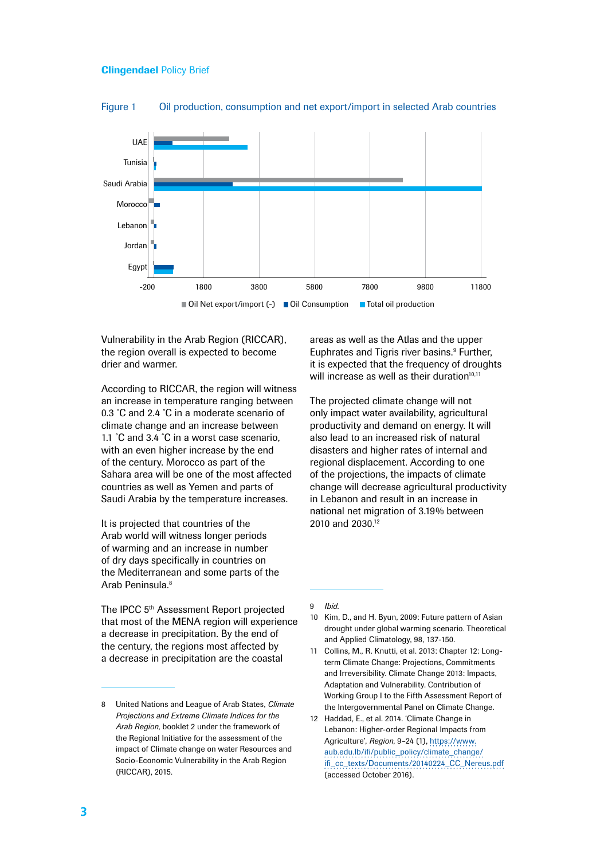

Figure 1 Oil production, consumption and net export/import in selected Arab countries

Vulnerability in the Arab Region (RICCAR), the region overall is expected to become drier and warmer.

According to RICCAR, the region will witness an increase in temperature ranging between 0.3 ˚C and 2.4 ˚C in a moderate scenario of climate change and an increase between 1.1 °C and 3.4 °C in a worst case scenario, with an even higher increase by the end of the century. Morocco as part of the Sahara area will be one of the most affected countries as well as Yemen and parts of Saudi Arabia by the temperature increases.

It is projected that countries of the Arab world will witness longer periods of warming and an increase in number of dry days specifically in countries on the Mediterranean and some parts of the Arab Peninsula.8

The IPCC 5<sup>th</sup> Assessment Report projected that most of the MENA region will experience a decrease in precipitation. By the end of the century, the regions most affected by a decrease in precipitation are the coastal

areas as well as the Atlas and the upper Euphrates and Tigris river basins.<sup>9</sup> Further, it is expected that the frequency of droughts will increase as well as their duration $10,11$ 

The projected climate change will not only impact water availability, agricultural productivity and demand on energy. It will also lead to an increased risk of natural disasters and higher rates of internal and regional displacement. According to one of the projections, the impacts of climate change will decrease agricultural productivity in Lebanon and result in an increase in national net migration of 3.19% between 2010 and 2030.<sup>12</sup>

- 11 Collins, M., R. Knutti, et al. 2013: Chapter 12: Longterm Climate Change: Projections, Commitments and Irreversibility. Climate Change 2013: Impacts, Adaptation and Vulnerability. Contribution of Working Group I to the Fifth Assessment Report of the Intergovernmental Panel on Climate Change.
- 12 Haddad, E., et al. 2014. 'Climate Change in Lebanon: Higher-order Regional Impacts from Agriculture', *Region*, 9–24 (1), [https://www.](https://www.aub.edu.lb/ifi/public_policy/climate_change/ifi_cc_texts/Documents/20140224_CC_Nereus.pdf) [aub.edu.lb/ifi/public\\_policy/climate\\_change/](https://www.aub.edu.lb/ifi/public_policy/climate_change/ifi_cc_texts/Documents/20140224_CC_Nereus.pdf) [ifi\\_cc\\_texts/Documents/20140224\\_CC\\_Nereus.pdf](https://www.aub.edu.lb/ifi/public_policy/climate_change/ifi_cc_texts/Documents/20140224_CC_Nereus.pdf) (accessed October 2016).

<sup>8</sup> United Nations and League of Arab States, *Climate Projections and Extreme Climate Indices for the Arab Region*, booklet 2 under the framework of the Regional Initiative for the assessment of the impact of Climate change on water Resources and Socio-Economic Vulnerability in the Arab Region (RICCAR), 2015.

<sup>9</sup> *Ibid*.

<sup>10</sup> Kim, D., and H. Byun, 2009: Future pattern of Asian drought under global warming scenario. Theoretical and Applied Climatology, 98, 137-150.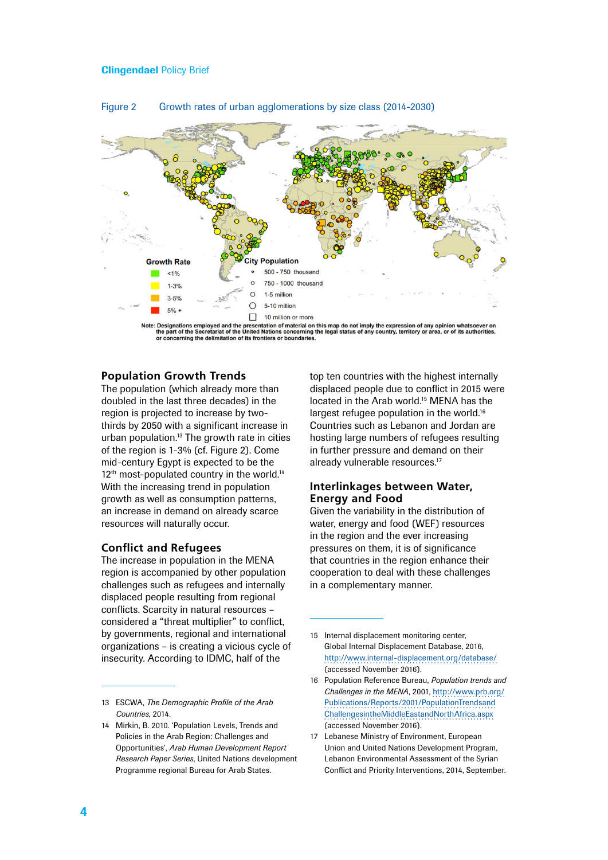

### Figure 2 Growth rates of urban agglomerations by size class (2014-2030)

Designations employed and the presentation of material on this map do not imply the expression of any opinion whatsoever on<br>the part of the Secretariat of the United Nations concerning the legal status of any country, terr oncerning the delimitation of its frontiers or boundar

## **Population Growth Trends**

The population (which already more than doubled in the last three decades) in the region is projected to increase by twothirds by 2050 with a significant increase in urban population.13 The growth rate in cities of the region is 1-3% (cf. Figure 2). Come mid-century Egypt is expected to be the 12<sup>th</sup> most-populated country in the world.<sup>14</sup> With the increasing trend in population growth as well as consumption patterns, an increase in demand on already scarce resources will naturally occur.

#### **Conflict and Refugees**

The increase in population in the MENA region is accompanied by other population challenges such as refugees and internally displaced people resulting from regional conflicts. Scarcity in natural resources – considered a "threat multiplier" to conflict, by governments, regional and international organizations – is creating a vicious cycle of insecurity. According to IDMC, half of the

13 ESCWA, *The Demographic Profile of the Arab Countries*, 2014.

top ten countries with the highest internally displaced people due to conflict in 2015 were located in the Arab world.<sup>15</sup> MENA has the largest refugee population in the world.<sup>16</sup> Countries such as Lebanon and Jordan are hosting large numbers of refugees resulting in further pressure and demand on their already vulnerable resources.<sup>17</sup>

## **Interlinkages between Water, Energy and Food**

Given the variability in the distribution of water, energy and food (WEF) resources in the region and the ever increasing pressures on them, it is of significance that countries in the region enhance their cooperation to deal with these challenges in a complementary manner.

17 Lebanese Ministry of Environment, European Union and United Nations Development Program, Lebanon Environmental Assessment of the Syrian Conflict and Priority Interventions, 2014, September.

<sup>14</sup> Mirkin, B. 2010. 'Population Levels, Trends and Policies in the Arab Region: Challenges and Opportunities', *Arab Human Development Report Research Paper Series*, United Nations development Programme regional Bureau for Arab States.

<sup>15</sup> Internal displacement monitoring center, Global Internal Displacement Database, 2016, <http://www.internal-displacement.org/database/> (accessed November 2016).

<sup>16</sup> Population Reference Bureau, *Population trends and Challenges in the MENA*, 2001, [http://www.prb.org/](http://www.prb.org/Publications/Reports/2001/PopulationTrendsandChallengesintheMiddleEastandNorthAfrica.aspx) [Publications/Reports/2001/PopulationTrendsand](http://www.prb.org/Publications/Reports/2001/PopulationTrendsandChallengesintheMiddleEastandNorthAfrica.aspx) [ChallengesintheMiddleEastandNorthAfrica.aspx](http://www.prb.org/Publications/Reports/2001/PopulationTrendsandChallengesintheMiddleEastandNorthAfrica.aspx) (accessed November 2016).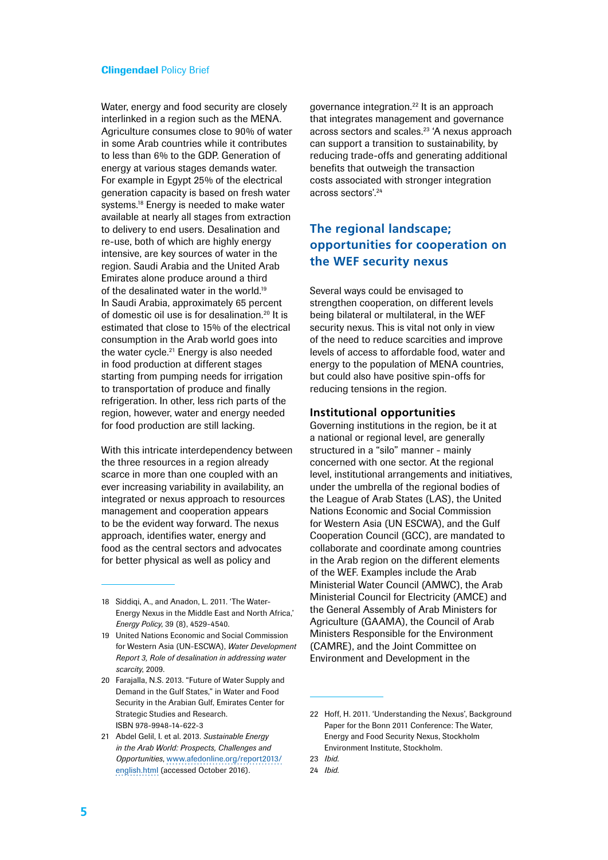Water, energy and food security are closely interlinked in a region such as the MENA. Agriculture consumes close to 90% of water in some Arab countries while it contributes to less than 6% to the GDP. Generation of energy at various stages demands water. For example in Egypt 25% of the electrical generation capacity is based on fresh water systems.<sup>18</sup> Energy is needed to make water available at nearly all stages from extraction to delivery to end users. Desalination and re-use, both of which are highly energy intensive, are key sources of water in the region. Saudi Arabia and the United Arab Emirates alone produce around a third of the desalinated water in the world.<sup>19</sup> In Saudi Arabia, approximately 65 percent of domestic oil use is for desalination.20 It is estimated that close to 15% of the electrical consumption in the Arab world goes into the water cycle.21 Energy is also needed in food production at different stages starting from pumping needs for irrigation to transportation of produce and finally refrigeration. In other, less rich parts of the region, however, water and energy needed for food production are still lacking.

With this intricate interdependency between the three resources in a region already scarce in more than one coupled with an ever increasing variability in availability, an integrated or nexus approach to resources management and cooperation appears to be the evident way forward. The nexus approach, identifies water, energy and food as the central sectors and advocates for better physical as well as policy and

governance integration.22 It is an approach that integrates management and governance across sectors and scales.23 'A nexus approach can support a transition to sustainability, by reducing trade-offs and generating additional benefits that outweigh the transaction costs associated with stronger integration across sectors'.24

# **The regional landscape; opportunities for cooperation on the WEF security nexus**

Several ways could be envisaged to strengthen cooperation, on different levels being bilateral or multilateral, in the WEF security nexus. This is vital not only in view of the need to reduce scarcities and improve levels of access to affordable food, water and energy to the population of MENA countries, but could also have positive spin-offs for reducing tensions in the region.

#### **Institutional opportunities**

Governing institutions in the region, be it at a national or regional level, are generally structured in a "silo" manner - mainly concerned with one sector. At the regional level, institutional arrangements and initiatives, under the umbrella of the regional bodies of the League of Arab States (LAS), the United Nations Economic and Social Commission for Western Asia (UN ESCWA), and the Gulf Cooperation Council (GCC), are mandated to collaborate and coordinate among countries in the Arab region on the different elements of the WEF. Examples include the Arab Ministerial Water Council (AMWC), the Arab Ministerial Council for Electricity (AMCE) and the General Assembly of Arab Ministers for Agriculture (GAAMA), the Council of Arab Ministers Responsible for the Environment (CAMRE), and the Joint Committee on Environment and Development in the

<sup>18</sup> Siddiqi, A., and Anadon, L. 2011. 'The Water-Energy Nexus in the Middle East and North Africa,' *Energy Policy*, 39 (8), 4529-4540.

<sup>19</sup> United Nations Economic and Social Commission for Western Asia (UN-ESCWA), *Water Development Report 3, Role of desalination in addressing water scarcity*, 2009.

<sup>20</sup> Farajalla, N.S. 2013. "Future of Water Supply and Demand in the Gulf States," in Water and Food Security in the Arabian Gulf, Emirates Center for Strategic Studies and Research. ISBN 978-9948-14-622-3

<sup>21</sup> Abdel Gelil, I. et al. 2013. *Sustainable Energy in the Arab World: Prospects, Challenges and Opportunities*, [www.afedonline.org/report2013/](http://www.afedonline.org/report2013/english.html) [english.html](http://www.afedonline.org/report2013/english.html) (accessed October 2016).

<sup>22</sup> Hoff, H. 2011. 'Understanding the Nexus', Background Paper for the Bonn 2011 Conference: The Water, Energy and Food Security Nexus, Stockholm Environment Institute, Stockholm.

<sup>23</sup> *Ibid*.

<sup>24</sup> *Ibid*.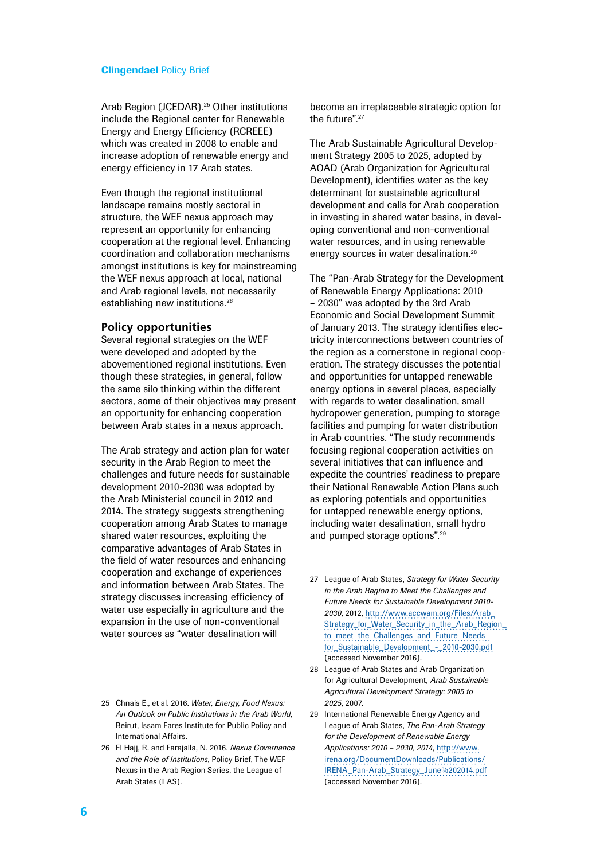Arab Region (JCEDAR).25 Other institutions include the Regional center for Renewable Energy and Energy Efficiency (RCREEE) which was created in 2008 to enable and increase adoption of renewable energy and energy efficiency in 17 Arab states.

Even though the regional institutional landscape remains mostly sectoral in structure, the WEF nexus approach may represent an opportunity for enhancing cooperation at the regional level. Enhancing coordination and collaboration mechanisms amongst institutions is key for mainstreaming the WEF nexus approach at local, national and Arab regional levels, not necessarily establishing new institutions.26

#### **Policy opportunities**

Several regional strategies on the WEF were developed and adopted by the abovementioned regional institutions. Even though these strategies, in general, follow the same silo thinking within the different sectors, some of their objectives may present an opportunity for enhancing cooperation between Arab states in a nexus approach.

The Arab strategy and action plan for water security in the Arab Region to meet the challenges and future needs for sustainable development 2010-2030 was adopted by the Arab Ministerial council in 2012 and 2014. The strategy suggests strengthening cooperation among Arab States to manage shared water resources, exploiting the comparative advantages of Arab States in the field of water resources and enhancing cooperation and exchange of experiences and information between Arab States. The strategy discusses increasing efficiency of water use especially in agriculture and the expansion in the use of non-conventional water sources as "water desalination will

25 Chnais E., et al. 2016. *Water, Energy, Food Nexus: An Outlook on Public Institutions in the Arab World*, Beirut, Issam Fares Institute for Public Policy and International Affairs.

become an irreplaceable strategic option for the future".27

The Arab Sustainable Agricultural Development Strategy 2005 to 2025, adopted by AOAD (Arab Organization for Agricultural Development), identifies water as the key determinant for sustainable agricultural development and calls for Arab cooperation in investing in shared water basins, in developing conventional and non-conventional water resources, and in using renewable energy sources in water desalination.28

The "Pan-Arab Strategy for the Development of Renewable Energy Applications: 2010 – 2030" was adopted by the 3rd Arab Economic and Social Development Summit of January 2013. The strategy identifies electricity interconnections between countries of the region as a cornerstone in regional cooperation. The strategy discusses the potential and opportunities for untapped renewable energy options in several places, especially with regards to water desalination, small hydropower generation, pumping to storage facilities and pumping for water distribution in Arab countries. "The study recommends focusing regional cooperation activities on several initiatives that can influence and expedite the countries' readiness to prepare their National Renewable Action Plans such as exploring potentials and opportunities for untapped renewable energy options, including water desalination, small hydro and pumped storage options".29

<sup>26</sup> El Hajj, R. and Farajalla, N. 2016. *Nexus Governance and the Role of Institutions*, Policy Brief, The WEF Nexus in the Arab Region Series, the League of Arab States (LAS).

<sup>27</sup> League of Arab States, *Strategy for Water Security in the Arab Region to Meet the Challenges and Future Needs for Sustainable Development 2010- 2030*, 2012, [http://www.accwam.org/Files/Arab\\_](http://www.accwam.org/Files/Arab_Strategy_for_Water_Security_in_the_Arab_Region_to_meet_the_Challenges_and_Future_Needs_for_Sustainable_Development_-_2010-2030.pdf) [Strategy\\_for\\_Water\\_Security\\_in\\_the\\_Arab\\_Region\\_](http://www.accwam.org/Files/Arab_Strategy_for_Water_Security_in_the_Arab_Region_to_meet_the_Challenges_and_Future_Needs_for_Sustainable_Development_-_2010-2030.pdf) [to\\_meet\\_the\\_Challenges\\_and\\_Future\\_Needs\\_](http://www.accwam.org/Files/Arab_Strategy_for_Water_Security_in_the_Arab_Region_to_meet_the_Challenges_and_Future_Needs_for_Sustainable_Development_-_2010-2030.pdf) [for\\_Sustainable\\_Development\\_-\\_2010-2030.pdf](http://www.accwam.org/Files/Arab_Strategy_for_Water_Security_in_the_Arab_Region_to_meet_the_Challenges_and_Future_Needs_for_Sustainable_Development_-_2010-2030.pdf) (accessed November 2016).

<sup>28</sup> League of Arab States and Arab Organization for Agricultural Development, *Arab Sustainable Agricultural Development Strategy: 2005 to 2025*, 2007.

<sup>29</sup> International Renewable Energy Agency and League of Arab States, *The Pan-Arab Strategy for the Development of Renewable Energy Applications: 2010 – 2030, 2014*, [http://www.](http://www.irena.org/DocumentDownloads/Publications/IRENA_Pan-Arab_Strategy_June 2014.pdf) [irena.org/DocumentDownloads/Publications/](http://www.irena.org/DocumentDownloads/Publications/IRENA_Pan-Arab_Strategy_June 2014.pdf) [IRENA\\_Pan-Arab\\_Strategy\\_June%202014.pdf](http://www.irena.org/DocumentDownloads/Publications/IRENA_Pan-Arab_Strategy_June 2014.pdf) (accessed November 2016).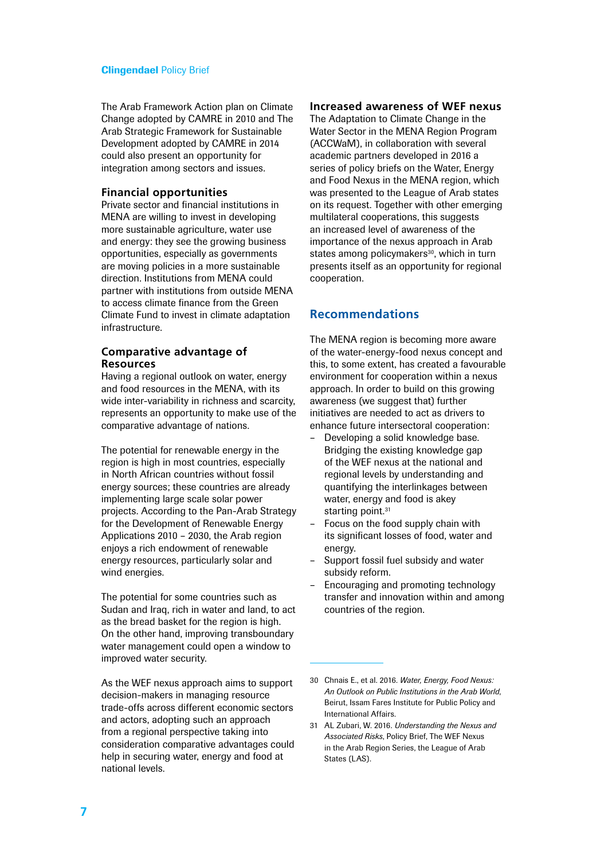The Arab Framework Action plan on Climate Change adopted by CAMRE in 2010 and The Arab Strategic Framework for Sustainable Development adopted by CAMRE in 2014 could also present an opportunity for integration among sectors and issues.

# **Financial opportunities**

Private sector and financial institutions in MENA are willing to invest in developing more sustainable agriculture, water use and energy: they see the growing business opportunities, especially as governments are moving policies in a more sustainable direction. Institutions from MENA could partner with institutions from outside MENA to access climate finance from the Green Climate Fund to invest in climate adaptation infrastructure.

# **Comparative advantage of Resources**

Having a regional outlook on water, energy and food resources in the MENA, with its wide inter-variability in richness and scarcity, represents an opportunity to make use of the comparative advantage of nations.

The potential for renewable energy in the region is high in most countries, especially in North African countries without fossil energy sources; these countries are already implementing large scale solar power projects. According to the Pan-Arab Strategy for the Development of Renewable Energy Applications 2010 – 2030, the Arab region enjoys a rich endowment of renewable energy resources, particularly solar and wind energies.

The potential for some countries such as Sudan and Iraq, rich in water and land, to act as the bread basket for the region is high. On the other hand, improving transboundary water management could open a window to improved water security.

As the WEF nexus approach aims to support decision-makers in managing resource trade-offs across different economic sectors and actors, adopting such an approach from a regional perspective taking into consideration comparative advantages could help in securing water, energy and food at national levels.

# **Increased awareness of WEF nexus**

The Adaptation to Climate Change in the Water Sector in the MENA Region Program (ACCWaM), in collaboration with several academic partners developed in 2016 a series of policy briefs on the Water, Energy and Food Nexus in the MENA region, which was presented to the League of Arab states on its request. Together with other emerging multilateral cooperations, this suggests an increased level of awareness of the importance of the nexus approach in Arab states among policymakers<sup>30</sup>, which in turn presents itself as an opportunity for regional cooperation.

# **Recommendations**

The MENA region is becoming more aware of the water-energy-food nexus concept and this, to some extent, has created a favourable environment for cooperation within a nexus approach. In order to build on this growing awareness (we suggest that) further initiatives are needed to act as drivers to enhance future intersectoral cooperation:

- Developing a solid knowledge base. Bridging the existing knowledge gap of the WEF nexus at the national and regional levels by understanding and quantifying the interlinkages between water, energy and food is akey starting point.<sup>31</sup>
- Focus on the food supply chain with its significant losses of food, water and energy.
- Support fossil fuel subsidy and water subsidy reform.
- Encouraging and promoting technology transfer and innovation within and among countries of the region.

<sup>30</sup> Chnais E., et al. 2016. *Water, Energy, Food Nexus: An Outlook on Public Institutions in the Arab World*, Beirut, Issam Fares Institute for Public Policy and International Affairs.

<sup>31</sup> AL Zubari, W. 2016. *Understanding the Nexus and Associated Risks*, Policy Brief, The WEF Nexus in the Arab Region Series, the League of Arab States (LAS).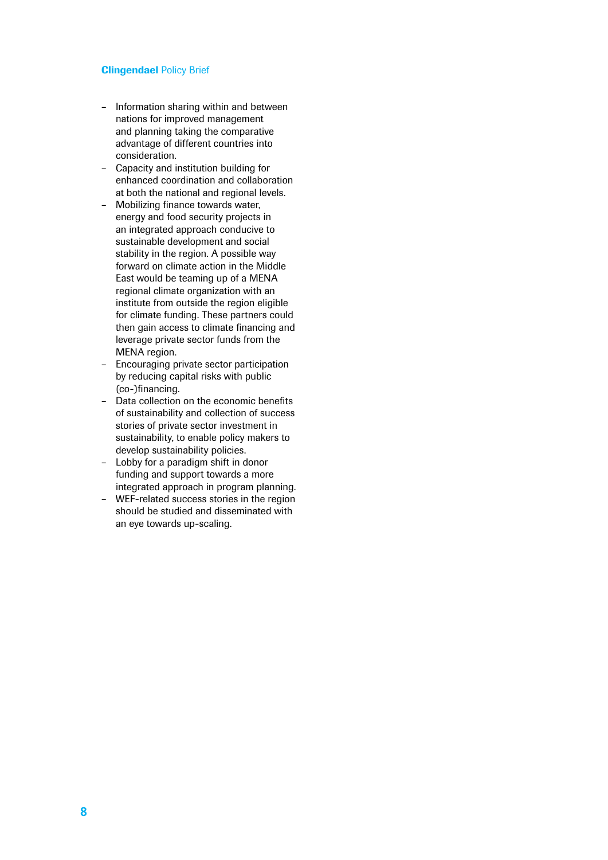- Information sharing within and between nations for improved management and planning taking the comparative advantage of different countries into consideration.
- Capacity and institution building for enhanced coordination and collaboration at both the national and regional levels.
- Mobilizing finance towards water, energy and food security projects in an integrated approach conducive to sustainable development and social stability in the region. A possible way forward on climate action in the Middle East would be teaming up of a MENA regional climate organization with an institute from outside the region eligible for climate funding. These partners could then gain access to climate financing and leverage private sector funds from the MENA region.
- Encouraging private sector participation by reducing capital risks with public (co-)financing.
- Data collection on the economic benefits of sustainability and collection of success stories of private sector investment in sustainability, to enable policy makers to develop sustainability policies.
- Lobby for a paradigm shift in donor funding and support towards a more integrated approach in program planning.
- WEF-related success stories in the region should be studied and disseminated with an eye towards up-scaling.